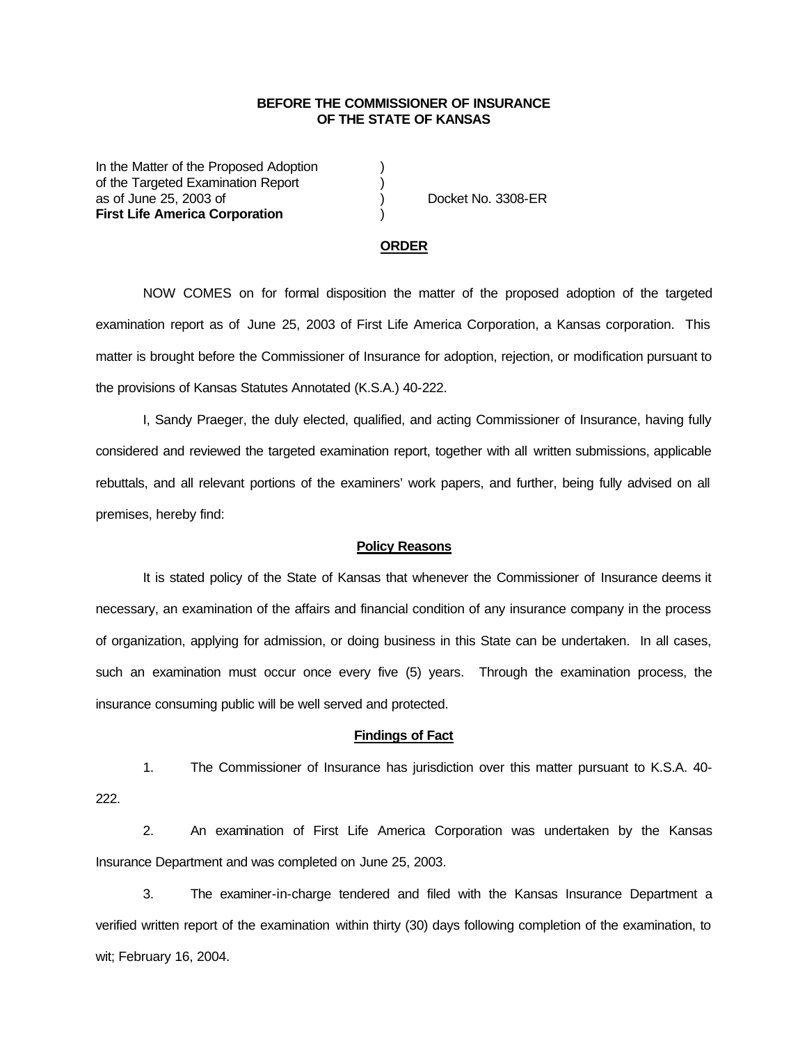## **BEFORE THE COMMISSIONER OF INSURANCE OF THE STATE OF KANSAS**

In the Matter of the Proposed Adoption of the Targeted Examination Report (a) as of June 25, 2003 of ) Docket No. 3308-ER **First Life America Corporation** )

# **ORDER**

NOW COMES on for formal disposition the matter of the proposed adoption of the targeted examination report as of June 25, 2003 of First Life America Corporation, a Kansas corporation. This matter is brought before the Commissioner of Insurance for adoption, rejection, or modification pursuant to the provisions of Kansas Statutes Annotated (K.S.A.) 40-222.

I, Sandy Praeger, the duly elected, qualified, and acting Commissioner of Insurance, having fully considered and reviewed the targeted examination report, together with all written submissions, applicable rebuttals, and all relevant portions of the examiners' work papers, and further, being fully advised on all premises, hereby find:

#### **Policy Reasons**

It is stated policy of the State of Kansas that whenever the Commissioner of Insurance deems it necessary, an examination of the affairs and financial condition of any insurance company in the process of organization, applying for admission, or doing business in this State can be undertaken. In all cases, such an examination must occur once every five (5) years. Through the examination process, the insurance consuming public will be well served and protected.

#### **Findings of Fact**

1. The Commissioner of Insurance has jurisdiction over this matter pursuant to K.S.A. 40- 222.

2. An examination of First Life America Corporation was undertaken by the Kansas Insurance Department and was completed on June 25, 2003.

3. The examiner-in-charge tendered and filed with the Kansas Insurance Department a verified written report of the examination within thirty (30) days following completion of the examination, to wit; February 16, 2004.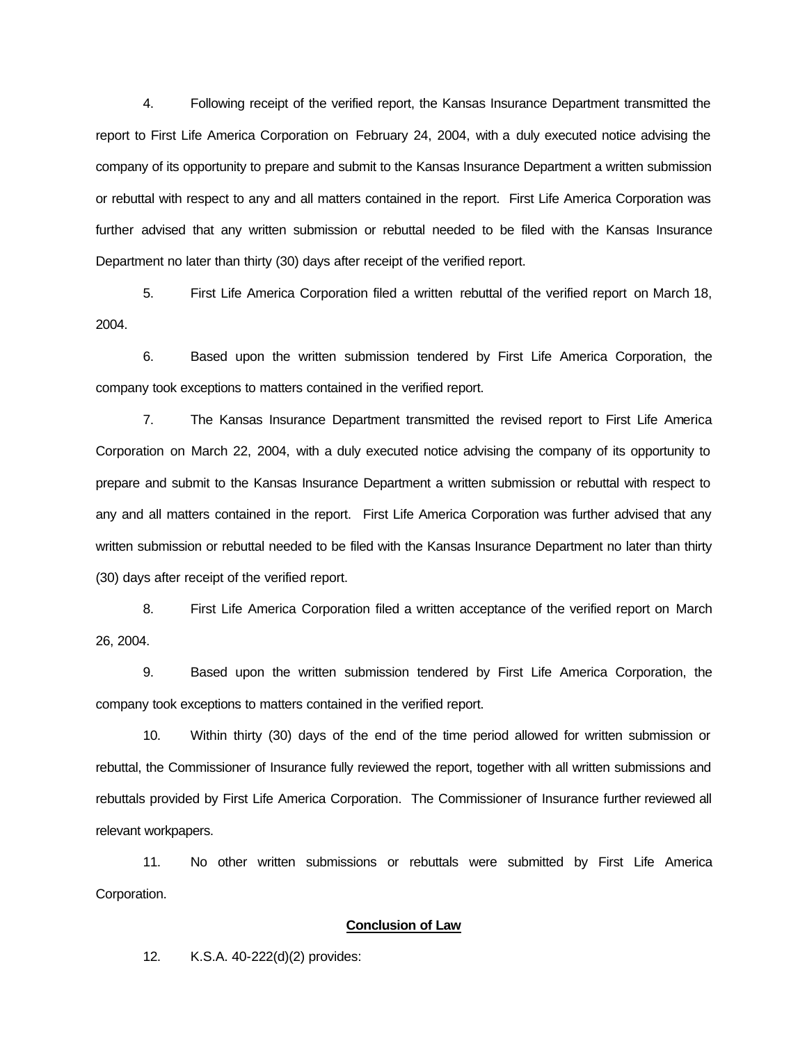4. Following receipt of the verified report, the Kansas Insurance Department transmitted the report to First Life America Corporation on February 24, 2004, with a duly executed notice advising the company of its opportunity to prepare and submit to the Kansas Insurance Department a written submission or rebuttal with respect to any and all matters contained in the report. First Life America Corporation was further advised that any written submission or rebuttal needed to be filed with the Kansas Insurance Department no later than thirty (30) days after receipt of the verified report.

5. First Life America Corporation filed a written rebuttal of the verified report on March 18, 2004.

6. Based upon the written submission tendered by First Life America Corporation, the company took exceptions to matters contained in the verified report.

7. The Kansas Insurance Department transmitted the revised report to First Life America Corporation on March 22, 2004, with a duly executed notice advising the company of its opportunity to prepare and submit to the Kansas Insurance Department a written submission or rebuttal with respect to any and all matters contained in the report. First Life America Corporation was further advised that any written submission or rebuttal needed to be filed with the Kansas Insurance Department no later than thirty (30) days after receipt of the verified report.

8. First Life America Corporation filed a written acceptance of the verified report on March 26, 2004.

9. Based upon the written submission tendered by First Life America Corporation, the company took exceptions to matters contained in the verified report.

10. Within thirty (30) days of the end of the time period allowed for written submission or rebuttal, the Commissioner of Insurance fully reviewed the report, together with all written submissions and rebuttals provided by First Life America Corporation. The Commissioner of Insurance further reviewed all relevant workpapers.

11. No other written submissions or rebuttals were submitted by First Life America Corporation.

### **Conclusion of Law**

12. K.S.A. 40-222(d)(2) provides: